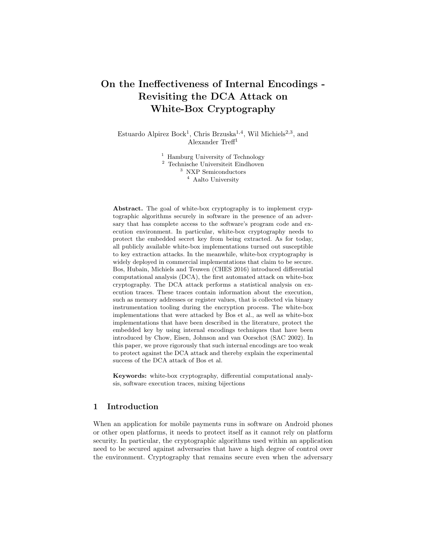# On the Ineffectiveness of Internal Encodings - Revisiting the DCA Attack on White-Box Cryptography

Estuardo Alpirez Bock<sup>1</sup>, Chris Brzuska<sup>1,4</sup>, Wil Michiels<sup>2,3</sup>, and Alexander Treff<sup>1</sup>

> <sup>1</sup> Hamburg University of Technology Technische Universiteit Eindhoven NXP Semiconductors Aalto University

Abstract. The goal of white-box cryptography is to implement cryptographic algorithms securely in software in the presence of an adversary that has complete access to the software's program code and execution environment. In particular, white-box cryptography needs to protect the embedded secret key from being extracted. As for today, all publicly available white-box implementations turned out susceptible to key extraction attacks. In the meanwhile, white-box cryptography is widely deployed in commercial implementations that claim to be secure. Bos, Hubain, Michiels and Teuwen (CHES 2016) introduced differential computational analysis (DCA), the first automated attack on white-box cryptography. The DCA attack performs a statistical analysis on execution traces. These traces contain information about the execution, such as memory addresses or register values, that is collected via binary instrumentation tooling during the encryption process. The white-box implementations that were attacked by Bos et al., as well as white-box implementations that have been described in the literature, protect the embedded key by using internal encodings techniques that have been introduced by Chow, Eisen, Johnson and van Oorschot (SAC 2002). In this paper, we prove rigorously that such internal encodings are too weak to protect against the DCA attack and thereby explain the experimental success of the DCA attack of Bos et al.

Keywords: white-box cryptography, differential computational analysis, software execution traces, mixing bijections

# 1 Introduction

When an application for mobile payments runs in software on Android phones or other open platforms, it needs to protect itself as it cannot rely on platform security. In particular, the cryptographic algorithms used within an application need to be secured against adversaries that have a high degree of control over the environment. Cryptography that remains secure even when the adversary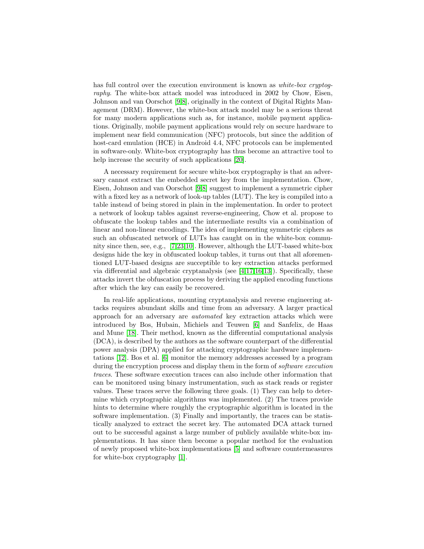has full control over the execution environment is known as *white-box cryptog*raphy. The white-box attack model was introduced in 2002 by Chow, Eisen, Johnson and van Oorschot [\[9,](#page-24-0)[8\]](#page-24-1), originally in the context of Digital Rights Management (DRM). However, the white-box attack model may be a serious threat for many modern applications such as, for instance, mobile payment applications. Originally, mobile payment applications would rely on secure hardware to implement near field communication (NFC) protocols, but since the addition of host-card emulation (HCE) in Android 4.4, NFC protocols can be implemented in software-only. White-box cryptography has thus become an attractive tool to help increase the security of such applications [\[20\]](#page-25-0).

A necessary requirement for secure white-box cryptography is that an adversary cannot extract the embedded secret key from the implementation. Chow, Eisen, Johnson and van Oorschot [\[9](#page-24-0)[,8\]](#page-24-1) suggest to implement a symmetric cipher with a fixed key as a network of look-up tables (LUT). The key is compiled into a table instead of being stored in plain in the implementation. In order to protect a network of lookup tables against reverse-engineering, Chow et al. propose to obfuscate the lookup tables and the intermediate results via a combination of linear and non-linear encodings. The idea of implementing symmetric ciphers as such an obfuscated network of LUTs has caught on in the white-box community since then, see, e.g., [\[7,](#page-24-2)[23](#page-25-1)[,10\]](#page-24-3). However, although the LUT-based white-box designs hide the key in obfuscated lookup tables, it turns out that all aforementioned LUT-based designs are succeptible to key extraction attacks performed via differential and algebraic cryptanalysis (see [\[4,](#page-24-4)[17,](#page-25-2)[16,](#page-25-3)[13\]](#page-24-5)). Specifically, these attacks invert the obfuscation process by deriving the applied encoding functions after which the key can easily be recovered.

In real-life applications, mounting cryptanalysis and reverse engineering attacks requires abundant skills and time from an adversary. A larger practical approach for an adversary are automated key extraction attacks which were introduced by Bos, Hubain, Michiels and Teuwen [\[6\]](#page-24-6) and Sanfelix, de Haas and Mune [\[18\]](#page-25-4). Their method, known as the differential computational analysis (DCA), is described by the authors as the software counterpart of the differential power analysis (DPA) applied for attacking cryptographic hardware implementations [\[12\]](#page-24-7). Bos et al. [\[6\]](#page-24-6) monitor the memory addresses accessed by a program during the encryption process and display them in the form of *software execution* traces. These software execution traces can also include other information that can be monitored using binary instrumentation, such as stack reads or register values. These traces serve the following three goals. (1) They can help to determine which cryptographic algorithms was implemented. (2) The traces provide hints to determine where roughly the cryptographic algorithm is located in the software implementation. (3) Finally and importantly, the traces can be statistically analyzed to extract the secret key. The automated DCA attack turned out to be successful against a large number of publicly available white-box implementations. It has since then become a popular method for the evaluation of newly proposed white-box implementations [\[5\]](#page-24-8) and software countermeasures for white-box cryptography [\[1\]](#page-24-9).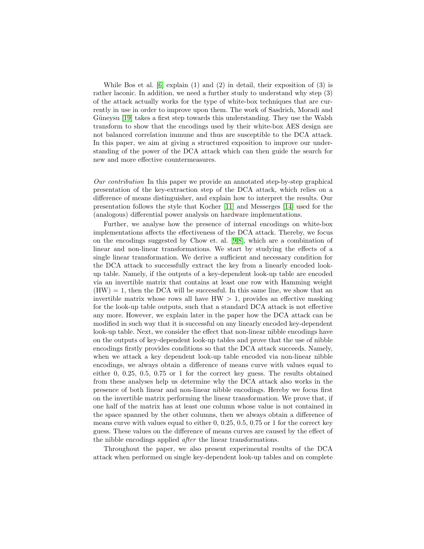While Bos et al. [\[6\]](#page-24-6) explain (1) and (2) in detail, their exposition of (3) is rather laconic. In addition, we need a further study to understand why step (3) of the attack actually works for the type of white-box techniques that are currently in use in order to improve upon them. The work of Sasdrich, Moradi and Güneysu [\[19\]](#page-25-5) takes a first step towards this understanding. They use the Walsh transform to show that the encodings used by their white-box AES design are not balanced correlation immune and thus are susceptible to the DCA attack. In this paper, we aim at giving a structured exposition to improve our understanding of the power of the DCA attack which can then guide the search for new and more effective countermeasures.

Our contribution In this paper we provide an annotated step-by-step graphical presentation of the key-extraction step of the DCA attack, which relies on a difference of means distinguisher, and explain how to interpret the results. Our presentation follows the style that Kocher [\[11\]](#page-24-10) and Messerges [\[14\]](#page-25-6) used for the (analogous) differential power analysis on hardware implementations.

Further, we analyse how the presence of internal encodings on white-box implementations affects the effectiveness of the DCA attack. Thereby, we focus on the encodings suggested by Chow et. al. [\[9](#page-24-0)[,8\]](#page-24-1), which are a combination of linear and non-linear transformations. We start by studying the effects of a single linear transformation. We derive a sufficient and necessary condition for the DCA attack to successfully extract the key from a linearly encoded lookup table. Namely, if the outputs of a key-dependent look-up table are encoded via an invertible matrix that contains at least one row with Hamming weight  $(HW) = 1$ , then the DCA will be successful. In this same line, we show that an invertible matrix whose rows all have  $HW > 1$ , provides an effective masking for the look-up table outputs, such that a standard DCA attack is not effective any more. However, we explain later in the paper how the DCA attack can be modified in such way that it is successful on any linearly encoded key-dependent look-up table. Next, we consider the effect that non-linear nibble encodings have on the outputs of key-dependent look-up tables and prove that the use of nibble encodings firstly provides conditions so that the DCA attack succeeds. Namely, when we attack a key dependent look-up table encoded via non-linear nibble encodings, we always obtain a difference of means curve with values equal to either 0, 0.25, 0.5, 0.75 or 1 for the correct key guess. The results obtained from these analyses help us determine why the DCA attack also works in the presence of both linear and non-linear nibble encodings. Hereby we focus first on the invertible matrix performing the linear transformation. We prove that, if one half of the matrix has at least one column whose value is not contained in the space spanned by the other columns, then we always obtain a difference of means curve with values equal to either 0, 0.25, 0.5, 0.75 or 1 for the correct key guess. These values on the difference of means curves are caused by the effect of the nibble encodings applied after the linear transformations.

Throughout the paper, we also present experimental results of the DCA attack when performed on single key-dependent look-up tables and on complete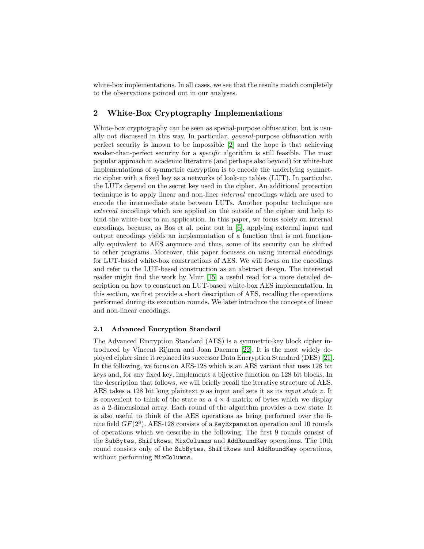white-box implementations. In all cases, we see that the results match completely to the observations pointed out in our analyses.

# 2 White-Box Cryptography Implementations

White-box cryptography can be seen as special-purpose obfuscation, but is usually not discussed in this way. In particular, general-purpose obfuscation with perfect security is known to be impossible [\[2\]](#page-24-11) and the hope is that achieving weaker-than-perfect security for a *specific* algorithm is still feasible. The most popular approach in academic literature (and perhaps also beyond) for white-box implementations of symmetric encryption is to encode the underlying symmetric cipher with a fixed key as a networks of look-up tables (LUT). In particular, the LUTs depend on the secret key used in the cipher. An additional protection technique is to apply linear and non-liner internal encodings which are used to encode the intermediate state between LUTs. Another popular technique are external encodings which are applied on the outside of the cipher and help to bind the white-box to an application. In this paper, we focus solely on internal encodings, because, as Bos et al. point out in [\[6\]](#page-24-6), applying external input and output encodings yields an implementation of a function that is not functionally equivalent to AES anymore and thus, some of its security can be shifted to other programs. Moreover, this paper focusses on using internal encodings for LUT-based white-box constructions of AES. We will focus on the encodings and refer to the LUT-based construction as an abstract design. The interested reader might find the work by Muir [\[15\]](#page-25-7) a useful read for a more detailed description on how to construct an LUT-based white-box AES implementation. In this section, we first provide a short description of AES, recalling the operations performed during its execution rounds. We later introduce the concepts of linear and non-linear encodings.

## <span id="page-3-0"></span>2.1 Advanced Encryption Standard

The Advanced Encryption Standard (AES) is a symmetric-key block cipher introduced by Vincent Rijmen and Joan Daemen [\[22\]](#page-25-8). It is the most widely deployed cipher since it replaced its successor Data Encryption Standard (DES) [\[21\]](#page-25-9). In the following, we focus on AES-128 which is an AES variant that uses 128 bit keys and, for any fixed key, implements a bijective function on 128 bit blocks. In the description that follows, we will briefly recall the iterative structure of AES. AES takes a 128 bit long plaintext  $p$  as input and sets it as its *input state z*. It is convenient to think of the state as a  $4 \times 4$  matrix of bytes which we display as a 2-dimensional array. Each round of the algorithm provides a new state. It is also useful to think of the AES operations as being performed over the finite field  $GF(2^8)$ . AES-128 consists of a KeyExpansion operation and 10 rounds of operations which we describe in the following. The first 9 rounds consist of the SubBytes, ShiftRows, MixColumns and AddRoundKey operations. The 10th round consists only of the SubBytes, ShiftRows and AddRoundKey operations, without performing MixColumns.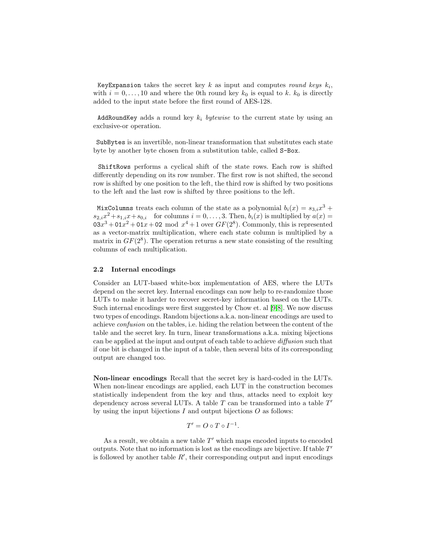KeyExpansion takes the secret key  $k$  as input and computes round keys  $k_i$ , with  $i = 0, \ldots, 10$  and where the 0th round key  $k_0$  is equal to k.  $k_0$  is directly added to the input state before the first round of AES-128.

AddRoundKey adds a round key  $k_i$  bytewise to the current state by using an exclusive-or operation.

SubBytes is an invertible, non-linear transformation that substitutes each state byte by another byte chosen from a substitution table, called S-Box.

ShiftRows performs a cyclical shift of the state rows. Each row is shifted differently depending on its row number. The first row is not shifted, the second row is shifted by one position to the left, the third row is shifted by two positions to the left and the last row is shifted by three positions to the left.

MixColumns treats each column of the state as a polynomial  $b_i(x) = s_{3,i}x^3 +$  $s_{2,i}x^2+s_{1,i}x+s_{0,i}$  for columns  $i=0,\ldots,3$ . Then,  $b_i(x)$  is multiplied by  $a(x)$  $03x^3 + 01x^2 + 01x + 02 \mod x^4 + 1$  over  $GF(2^8)$ . Commonly, this is represented as a vector-matrix multiplication, where each state column is multiplied by a matrix in  $GF(2^8)$ . The operation returns a new state consisting of the resulting columns of each multiplication.

#### 2.2 Internal encodings

Consider an LUT-based white-box implementation of AES, where the LUTs depend on the secret key. Internal encodings can now help to re-randomize those LUTs to make it harder to recover secret-key information based on the LUTs. Such internal encodings were first suggested by Chow et. al [\[9,](#page-24-0)[8\]](#page-24-1). We now discuss two types of encodings. Random bijections a.k.a. non-linear encodings are used to achieve confusion on the tables, i.e. hiding the relation between the content of the table and the secret key. In turn, linear transformations a.k.a. mixing bijections can be applied at the input and output of each table to achieve diffusion such that if one bit is changed in the input of a table, then several bits of its corresponding output are changed too.

Non-linear encodings Recall that the secret key is hard-coded in the LUTs. When non-linear encodings are applied, each LUT in the construction becomes statistically independent from the key and thus, attacks need to exploit key dependency across several LUTs. A table  $T$  can be transformed into a table  $T'$ by using the input bijections  $I$  and output bijections  $O$  as follows:

$$
T'=O\circ T\circ I^{-1}.
$$

As a result, we obtain a new table  $T'$  which maps encoded inputs to encoded outputs. Note that no information is lost as the encodings are bijective. If table  $T'$ is followed by another table  $R'$ , their corresponding output and input encodings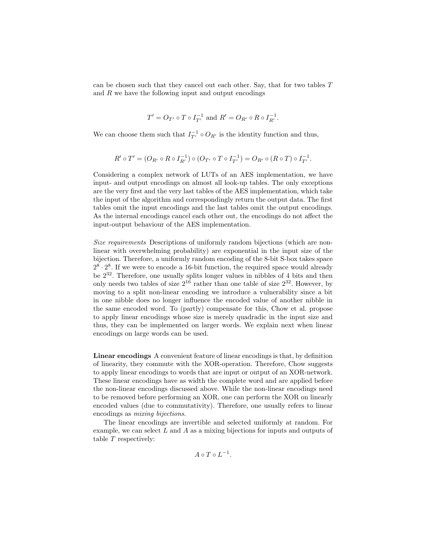can be chosen such that they cancel out each other. Say, that for two tables T and  $R$  we have the following input and output encodings

$$
T' = O_{T'} \circ T \circ I_{T'}^{-1}
$$
 and  $R' = O_{R'} \circ R \circ I_{R'}^{-1}$ .

We can choose them such that  $I_{T'}^{-1} \circ O_{R'}$  is the identity function and thus,

$$
R' \circ T' = (O_{R'} \circ R \circ I_{R'}^{-1}) \circ (O_{T'} \circ T \circ I_{T'}^{-1}) = O_{R'} \circ (R \circ T) \circ I_{T'}^{-1}.
$$

Considering a complex network of LUTs of an AES implementation, we have input- and output encodings on almost all look-up tables. The only exceptions are the very first and the very last tables of the AES implementation, which take the input of the algorithm and correspondingly return the output data. The first tables omit the input encodings and the last tables omit the output encodings. As the internal encodings cancel each other out, the encodings do not affect the input-output behaviour of the AES implementation.

Size requirements Descriptions of uniformly random bijections (which are nonlinear with overwhelming probability) are exponential in the input size of the bijection. Therefore, a uniformly random encoding of the 8-bit S-box takes space  $2^8 \cdot 2^8$ . If we were to encode a 16-bit function, the required space would already be  $2^{32}$ . Therefore, one usually splits longer values in nibbles of 4 bits and then only needs two tables of size  $2^{16}$  rather than one table of size  $2^{32}$ . However, by moving to a split non-linear encoding we introduce a vulnerability since a bit in one nibble does no longer influence the encoded value of another nibble in the same encoded word. To (partly) compensate for this, Chow et al. propose to apply linear encodings whose size is merely quadradic in the input size and thus, they can be implemented on larger words. We explain next when linear encodings on large words can be used.

Linear encodings A convenient feature of linear encodings is that, by definition of linearity, they commute with the XOR-operation. Therefore, Chow suggests to apply linear encodings to words that are input or output of an XOR-network. These linear encodings have as width the complete word and are applied before the non-linear encodings discussed above. While the non-linear encodings need to be removed before performing an XOR, one can perform the XOR on linearly encoded values (due to commutativity). Therefore, one usually refers to linear encodings as mixing bijections.

The linear encodings are invertible and selected uniformly at random. For example, we can select  $L$  and  $A$  as a mixing bijections for inputs and outputs of table T respectively:

 $A \circ T \circ L^{-1}.$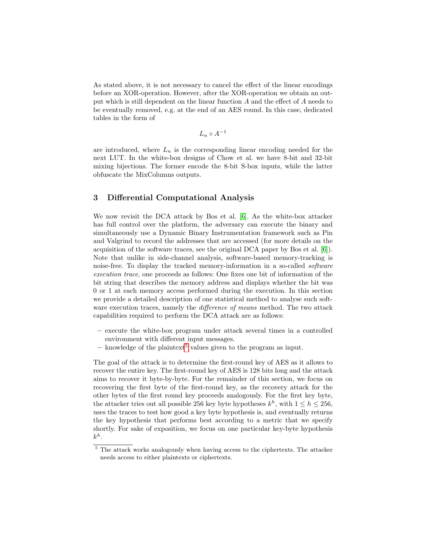As stated above, it is not necessary to cancel the effect of the linear encodings before an XOR-operation. However, after the XOR-operation we obtain an output which is still dependent on the linear function A and the effect of A needs to be eventually removed, e.g. at the end of an AES round. In this case, dedicated tables in the form of

$$
L_n\circ A^{-1}
$$

are introduced, where  $L_n$  is the corresponding linear encoding needed for the next LUT. In the white-box designs of Chow et al. we have 8-bit and 32-bit mixing bijections. The former encode the 8-bit S-box inputs, while the latter obfuscate the MixColumns outputs.

# <span id="page-6-1"></span>3 Differential Computational Analysis

We now revisit the DCA attack by Bos et al. [\[6\]](#page-24-6). As the white-box attacker has full control over the platform, the adversary can execute the binary and simultaneously use a Dynamic Binary Instrumentation framework such as Pin and Valgrind to record the addresses that are accessed (for more details on the acquisition of the software traces, see the original DCA paper by Bos et al. [\[6\]](#page-24-6)). Note that unlike in side-channel analysis, software-based memory-tracking is noise-free. To display the tracked memory-information in a so-called software execution trace, one proceeds as follows: One fixes one bit of information of the bit string that describes the memory address and displays whether the bit was 0 or 1 at each memory access performed during the execution. In this section we provide a detailed description of one statistical method to analyse such software execution traces, namely the *difference of means* method. The two attack capabilities required to perform the DCA attack are as follows:

- execute the white-box program under attack several times in a controlled environment with different input messages.
- knowledge of the plaintext<sup>[5](#page-6-0)</sup> values given to the program as input.

The goal of the attack is to determine the first-round key of AES as it allows to recover the entire key. The first-round key of AES is 128 bits long and the attack aims to recover it byte-by-byte. For the remainder of this section, we focus on recovering the first byte of the first-round key, as the recovery attack for the other bytes of the first round key proceeds analogously. For the first key byte, the attacker tries out all possible 256 key byte hypotheses  $k^h$ , with  $1 \leq h \leq 256$ , uses the traces to test how good a key byte hypothesis is, and eventually returns the key hypothesis that performs best according to a metric that we specify shortly. For sake of exposition, we focus on one particular key-byte hypothesis  $k^h$ .

<span id="page-6-0"></span><sup>&</sup>lt;sup>5</sup> The attack works analogously when having access to the ciphertexts. The attacker needs access to either plaintexts or ciphertexts.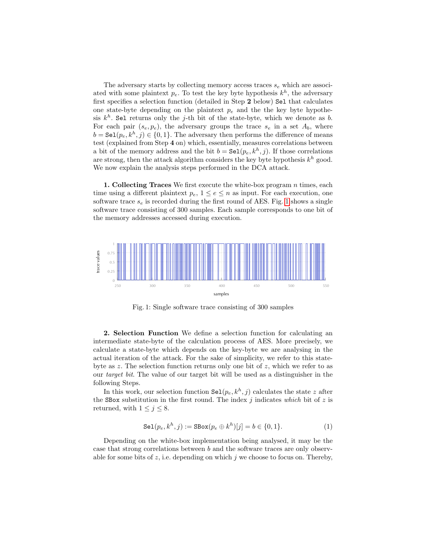The adversary starts by collecting memory access traces  $s_e$  which are associated with some plaintext  $p_e$ . To test the key byte hypothesis  $k^h$ , the adversary first specifies a selection function (detailed in Step 2 below) Sel that calculates one state-byte depending on the plaintext  $p_e$  and the the key byte hypothesis  $k^h$ . Sel returns only the j-th bit of the state-byte, which we denote as b. For each pair  $(s_e, p_e)$ , the adversary groups the trace  $s_e$  in a set  $A_b$ , where  $b = \texttt{Sel}(p_e, k^h, j) \in \{0, 1\}$ . The adversary then performs the difference of means test (explained from Step 4 on) which, essentially, measures correlations between a bit of the memory address and the bit  $b = \text{Sel}(p_e, k^h, j)$ . If those correlations are strong, then the attack algorithm considers the key byte hypothesis  $k^h$  good. We now explain the analysis steps performed in the DCA attack.

1. Collecting Traces We first execute the white-box program n times, each time using a different plaintext  $p_e$ ,  $1 \leq e \leq n$  as input. For each execution, one software trace  $s_e$  is recorded during the first round of AES. Fig. [1](#page-7-0) shows a single software trace consisting of 300 samples. Each sample corresponds to one bit of the memory addresses accessed during execution.

<span id="page-7-0"></span>

Fig. 1: Single software trace consisting of 300 samples

2. Selection Function We define a selection function for calculating an intermediate state-byte of the calculation process of AES. More precisely, we calculate a state-byte which depends on the key-byte we are analysing in the actual iteration of the attack. For the sake of simplicity, we refer to this statebyte as  $z$ . The selection function returns only one bit of  $z$ , which we refer to as our target bit. The value of our target bit will be used as a distinguisher in the following Steps.

In this work, our selection function  $\text{Sel}(p_e, k^h, j)$  calculates the state z after the SBox substitution in the first round. The index  $j$  indicates which bit of  $z$  is returned, with  $1 \leq j \leq 8$ .

$$
Sel(p_e, k^h, j) := SBox(p_e \oplus k^h)[j] = b \in \{0, 1\}.
$$
 (1)

Depending on the white-box implementation being analysed, it may be the case that strong correlations between b and the software traces are only observable for some bits of  $z$ , i.e. depending on which  $j$  we choose to focus on. Thereby,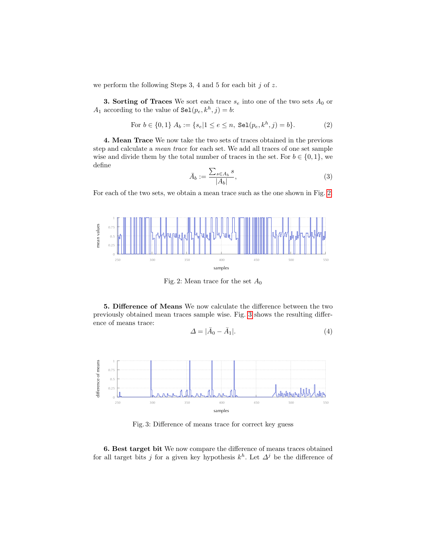we perform the following Steps 3, 4 and 5 for each bit  $j$  of  $z$ .

**3. Sorting of Traces** We sort each trace  $s_e$  into one of the two sets  $A_0$  or  $A_1$  according to the value of  $\texttt{Sel}(p_e, k^h, j) = b$ :

For 
$$
b \in \{0, 1\}
$$
  $A_b := \{s_e | 1 \le e \le n, \text{ Sel}(p_e, k^h, j) = b\}.$  (2)

4. Mean Trace We now take the two sets of traces obtained in the previous step and calculate a mean trace for each set. We add all traces of one set sample wise and divide them by the total number of traces in the set. For  $b \in \{0, 1\}$ , we define

$$
\bar{A}_b := \frac{\sum_{s \in A_b} s}{|A_b|},\tag{3}
$$

For each of the two sets, we obtain a mean trace such as the one shown in Fig. [2.](#page-8-0)

<span id="page-8-0"></span>

Fig. 2: Mean trace for the set  $A_0$ 

5. Difference of Means We now calculate the difference between the two previously obtained mean traces sample wise. Fig. [3](#page-8-1) shows the resulting difference of means trace:

$$
\Delta = |\bar{A}_0 - \bar{A}_1|.\tag{4}
$$

<span id="page-8-1"></span>

Fig. 3: Difference of means trace for correct key guess

6. Best target bit We now compare the difference of means traces obtained for all target bits j for a given key hypothesis  $k^h$ . Let  $\Delta^j$  be the difference of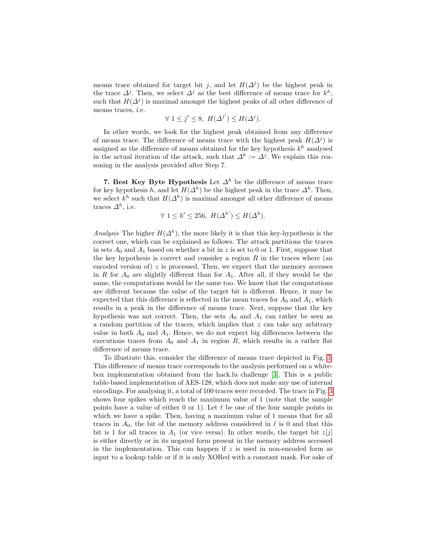means trace obtained for target bit j, and let  $H(\Delta^j)$  be the highest peak in the trace  $\Delta^{j}$ . Then, we select  $\Delta^{j}$  as the best difference of means trace for  $k^{h}$ , such that  $H(\Delta^j)$  is maximal amongst the highest peaks of all other difference of means traces, i.e.

$$
\forall 1 \leq j' \leq 8, H(\Delta^{j'}) \leq H(\Delta^j).
$$

In other words, we look for the highest peak obtained from any difference of means trace. The difference of means trace with the highest peak  $H(\Delta^j)$  is assigned as the difference of means obtained for the key hypothesis  $k^h$  analysed in the actual iteration of the attack, such that  $\Delta^h := \Delta^j$ . We explain this reasoning in the analysis provided after Step 7.

7. Best Key Byte Hypothesis Let  $\Delta^h$  be the difference of means trace for key hypothesis h, and let  $H(\Delta^h)$  be the highest peak in the trace  $\Delta^h$ . Then, we select  $k^h$  such that  $H(\Delta^h)$  is maximal amongst all other difference of means traces  $\Delta^h$ , i.e.

$$
\forall 1 \le h' \le 256, \ H(\Delta^{h'}) \le H(\Delta^h).
$$

Analysis The higher  $H(\Delta^h)$ , the more likely it is that this key-hypothesis is the correct one, which can be explained as follows. The attack partitions the traces in sets  $A_0$  and  $A_1$  based on whether a bit in z is set to 0 or 1. First, suppose that the key hypothesis is correct and consider a region  $R$  in the traces where (an encoded version of)  $z$  is processed. Then, we expect that the memory accesses in R for  $A_0$  are slightly different than for  $A_1$ . After all, if they would be the same, the computations would be the same too. We know that the computations are different because the value of the target bit is different. Hence, it may be expected that this difference is reflected in the mean traces for  $A_0$  and  $A_1$ , which results in a peak in the difference of means trace. Next, suppose that the key hypothesis was not correct. Then, the sets  $A_0$  and  $A_1$  can rather be seen as a random partition of the traces, which implies that  $z$  can take any arbitrary value in both  $A_0$  and  $A_1$ . Hence, we do not expect big differences between the executions traces from  $A_0$  and  $A_1$  in region  $R$ , which results in a rather flat difference of means trace.

To illustrate this, consider the difference of means trace depicted in Fig. [3.](#page-8-1) This difference of means trace corresponds to the analysis performed on a whitebox implementation obtained from the hack.lu challenge [\[3\]](#page-24-12). This is a public table-based implementation of AES-128, which does not make any use of internal encodings. For analysing it, a total of 100 traces were recorded. The trace in Fig. [3](#page-8-1) shows four spikes which reach the maximum value of 1 (note that the sample points have a value of either 0 or 1). Let  $\ell$  be one of the four sample points in which we have a spike. Then, having a maximum value of 1 means that for all traces in  $A_0$ , the bit of the memory address considered in  $\ell$  is 0 and that this bit is 1 for all traces in  $A_1$  (or vice versa). In other words, the target bit  $z[j]$ is either directly or in its negated form present in the memory address accessed in the implementation. This can happen if  $z$  is used in non-encoded form as input to a lookup table or if it is only XORed with a constant mask. For sake of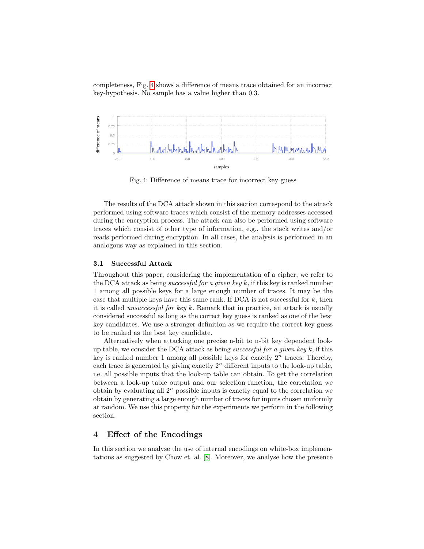completeness, Fig. [4](#page-10-0) shows a difference of means trace obtained for an incorrect key-hypothesis. No sample has a value higher than 0.3.

<span id="page-10-0"></span>

Fig. 4: Difference of means trace for incorrect key guess

The results of the DCA attack shown in this section correspond to the attack performed using software traces which consist of the memory addresses accessed during the encryption process. The attack can also be performed using software traces which consist of other type of information, e.g., the stack writes and/or reads performed during encryption. In all cases, the analysis is performed in an analogous way as explained in this section.

### <span id="page-10-1"></span>3.1 Successful Attack

Throughout this paper, considering the implementation of a cipher, we refer to the DCA attack as being *successful for a given key k*, if this key is ranked number 1 among all possible keys for a large enough number of traces. It may be the case that multiple keys have this same rank. If  $DCA$  is not successful for  $k$ , then it is called *unsuccessful for key k*. Remark that in practice, an attack is usually considered successful as long as the correct key guess is ranked as one of the best key candidates. We use a stronger definition as we require the correct key guess to be ranked as the best key candidate.

Alternatively when attacking one precise n-bit to n-bit key dependent lookup table, we consider the DCA attack as being successful for a given key k, if this key is ranked number 1 among all possible keys for exactly  $2<sup>n</sup>$  traces. Thereby, each trace is generated by giving exactly  $2<sup>n</sup>$  different inputs to the look-up table, i.e. all possible inputs that the look-up table can obtain. To get the correlation between a look-up table output and our selection function, the correlation we obtain by evaluating all  $2^n$  possible inputs is exactly equal to the correlation we obtain by generating a large enough number of traces for inputs chosen uniformly at random. We use this property for the experiments we perform in the following section.

# 4 Effect of the Encodings

In this section we analyse the use of internal encodings on white-box implementations as suggested by Chow et. al. [\[8\]](#page-24-1). Moreover, we analyse how the presence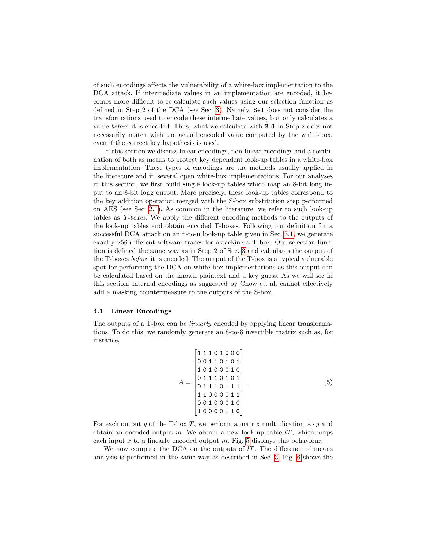of such encodings affects the vulnerability of a white-box implementation to the DCA attack. If intermediate values in an implementation are encoded, it becomes more difficult to re-calculate such values using our selection function as defined in Step 2 of the DCA (see Sec. [3\)](#page-6-1). Namely, Sel does not consider the transformations used to encode these intermediate values, but only calculates a value before it is encoded. Thus, what we calculate with Sel in Step 2 does not necessarily match with the actual encoded value computed by the white-box, even if the correct key hypothesis is used.

In this section we discuss linear encodings, non-linear encodings and a combination of both as means to protect key dependent look-up tables in a white-box implementation. These types of encodings are the methods usually applied in the literature and in several open white-box implementations. For our analyses in this section, we first build single look-up tables which map an 8-bit long input to an 8-bit long output. More precisely, these look-up tables correspond to the key addition operation merged with the S-box substitution step performed on AES (see Sec. [2.1\)](#page-3-0). As common in the literature, we refer to such look-up tables as T-boxes. We apply the different encoding methods to the outputs of the look-up tables and obtain encoded T-boxes. Following our definition for a successful DCA attack on an n-to-n look-up table given in Sec. [3.1,](#page-10-1) we generate exactly 256 different software traces for attacking a T-box. Our selection function is defined the same way as in Step 2 of Sec. [3](#page-6-1) and calculates the output of the T-boxes before it is encoded. The output of the T-box is a typical vulnerable spot for performing the DCA on white-box implementations as this output can be calculated based on the known plaintext and a key guess. As we will see in this section, internal encodings as suggested by Chow et. al. cannot effectively add a masking countermeasure to the outputs of the S-box.

## <span id="page-11-1"></span>4.1 Linear Encodings

The outputs of a T-box can be *linearly* encoded by applying linear transformations. To do this, we randomly generate an 8-to-8 invertible matrix such as, for instance,

<span id="page-11-0"></span>
$$
A = \begin{bmatrix} 1 & 1 & 1 & 0 & 1 & 0 & 0 & 0 \\ 0 & 0 & 1 & 1 & 0 & 1 & 0 & 1 \\ 1 & 0 & 1 & 0 & 0 & 0 & 1 & 0 \\ 0 & 1 & 1 & 1 & 0 & 1 & 1 \\ 0 & 1 & 1 & 1 & 0 & 1 & 1 \\ 1 & 1 & 0 & 0 & 0 & 1 & 1 \\ 0 & 0 & 1 & 0 & 0 & 0 & 1 & 0 \\ 1 & 0 & 0 & 0 & 0 & 1 & 1 & 0 \end{bmatrix}.
$$
 (5)

For each output y of the T-box T, we perform a matrix multiplication  $A \cdot y$  and obtain an encoded output m. We obtain a new look-up table  $lT$ , which maps each input x to a linearly encoded output m. Fig. [5](#page-12-0) displays this behaviour.

We now compute the DCA on the outputs of  $l$ . The difference of means analysis is performed in the same way as described in Sec. [3.](#page-6-1) Fig. [6](#page-12-1) shows the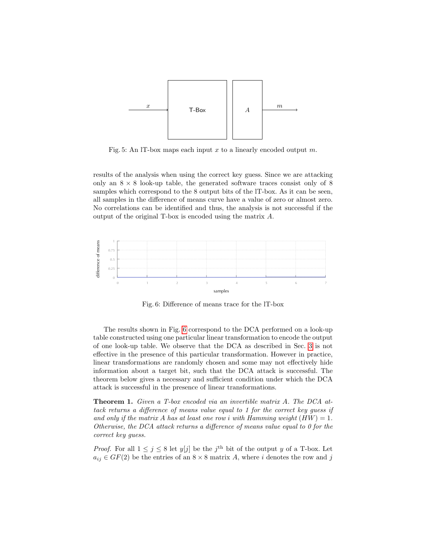<span id="page-12-0"></span>

Fig. 5: An IT-box maps each input x to a linearly encoded output  $m$ .

results of the analysis when using the correct key guess. Since we are attacking only an  $8 \times 8$  look-up table, the generated software traces consist only of 8 samples which correspond to the 8 output bits of the lT-box. As it can be seen, all samples in the difference of means curve have a value of zero or almost zero. No correlations can be identified and thus, the analysis is not successful if the output of the original T-box is encoded using the matrix A.

<span id="page-12-1"></span>

Fig. 6: Difference of means trace for the lT-box

The results shown in Fig. [6](#page-12-1) correspond to the DCA performed on a look-up table constructed using one particular linear transformation to encode the output of one look-up table. We observe that the DCA as described in Sec. [3](#page-6-1) is not effective in the presence of this particular transformation. However in practice, linear transformations are randomly chosen and some may not effectively hide information about a target bit, such that the DCA attack is successful. The theorem below gives a necessary and sufficient condition under which the DCA attack is successful in the presence of linear transformations.

<span id="page-12-2"></span>Theorem 1. Given a T-box encoded via an invertible matrix A. The DCA attack returns a difference of means value equal to 1 for the correct key guess if and only if the matrix A has at least one row i with Hamming weight  $(HW) = 1$ . Otherwise, the DCA attack returns a difference of means value equal to 0 for the correct key guess.

*Proof.* For all  $1 \leq j \leq 8$  let  $y[j]$  be the j<sup>th</sup> bit of the output y of a T-box. Let  $a_{ij} \in GF(2)$  be the entries of an  $8 \times 8$  matrix A, where i denotes the row and j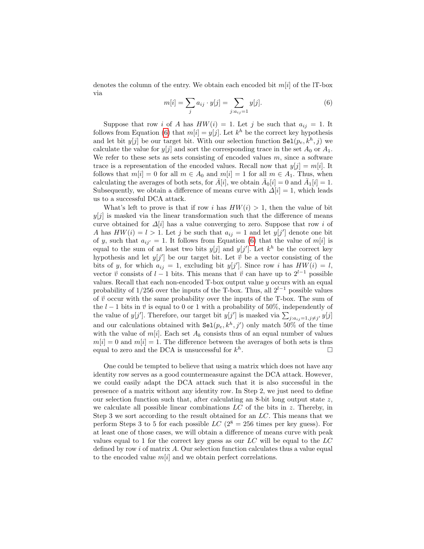denotes the column of the entry. We obtain each encoded bit  $m[i]$  of the lT-box via

<span id="page-13-0"></span>
$$
m[i] = \sum_{j} a_{ij} \cdot y[j] = \sum_{j:a_{ij}=1} y[j]. \tag{6}
$$

Suppose that row i of A has  $HW(i) = 1$ . Let j be such that  $a_{ij} = 1$ . It follows from Equation [\(6\)](#page-13-0) that  $m[i] = y[j]$ . Let  $k^h$  be the correct key hypothesis and let bit  $y[j]$  be our target bit. With our selection function  $\text{Sel}(p_e, k^h, j)$  we calculate the value for  $y[j]$  and sort the corresponding trace in the set  $A_0$  or  $A_1$ . We refer to these sets as sets consisting of encoded values  $m$ , since a software trace is a representation of the encoded values. Recall now that  $y[j] = m[i]$ . It follows that  $m[i] = 0$  for all  $m \in A_0$  and  $m[i] = 1$  for all  $m \in A_1$ . Thus, when calculating the averages of both sets, for  $\bar{A}[i]$ , we obtain  $\bar{A}_0[i] = 0$  and  $\bar{A}_1[i] = 1$ . Subsequently, we obtain a difference of means curve with  $\Delta[i] = 1$ , which leads us to a successful DCA attack.

What's left to prove is that if row i has  $HW(i) > 1$ , then the value of bit  $y[j]$  is masked via the linear transformation such that the difference of means curve obtained for  $\Delta[i]$  has a value converging to zero. Suppose that row i of A has  $HW(i) = l > 1$ . Let j be such that  $a_{ij} = 1$  and let  $y[j']$  denote one bit of y, such that  $a_{ii'} = 1$ . It follows from Equation [\(6\)](#page-13-0) that the value of m[i] is equal to the sum of at least two bits  $y[j]$  and  $y[j']$ . Let  $k^h$  be the correct key hypothesis and let  $y[j']$  be our target bit. Let  $\vec{v}$  be a vector consisting of the bits of y, for which  $a_{ij} = 1$ , excluding bit  $y[j']$ . Since row i has  $HW(i) = l$ , vector  $\vec{v}$  consists of l − 1 bits. This means that  $\vec{v}$  can have up to  $2^{l-1}$  possible values. Recall that each non-encoded  $T$ -box output value  $y$  occurs with an equal probability of 1/256 over the inputs of the T-box. Thus, all  $2^{l-1}$  possible values of  $\vec{v}$  occur with the same probability over the inputs of the T-box. The sum of the  $l - 1$  bits in  $\vec{v}$  is equal to 0 or 1 with a probability of 50%, independently of the value of  $y[j']$ . Therefore, our target bit  $y[j']$  is masked via  $\sum_{j:a_{ij}=1,j\neq j'} y[j]$ and our calculations obtained with  $\text{Sel}(p_e, k^h, j')$  only match 50% of the time with the value of  $m[i]$ . Each set  $A_b$  consists thus of an equal number of values  $m[i] = 0$  and  $m[i] = 1$ . The difference between the averages of both sets is thus equal to zero and the DCA is unsuccessful for  $k^h$ . — Петровически производите в пример, на пример, на пример, на пример, на пример, на пример, на при<br>В 1990 году в 1990 году в 1990 году в 1990 году в 1990 году в 1990 году в 1990 году в 1990 году в 1990 году в<br>Пример, на

One could be tempted to believe that using a matrix which does not have any identity row serves as a good countermeasure against the DCA attack. However, we could easily adapt the DCA attack such that it is also successful in the presence of a matrix without any identity row. In Step 2, we just need to define our selection function such that, after calculating an 8-bit long output state z, we calculate all possible linear combinations  $LC$  of the bits in z. Thereby, in Step 3 we sort according to the result obtained for an LC. This means that we perform Steps 3 to 5 for each possible  $LC$  ( $2^8 = 256$  times per key guess). For at least one of those cases, we will obtain a difference of means curve with peak values equal to 1 for the correct key guess as our  $LC$  will be equal to the  $LC$ defined by row  $i$  of matrix  $A$ . Our selection function calculates thus a value equal to the encoded value  $m[i]$  and we obtain perfect correlations.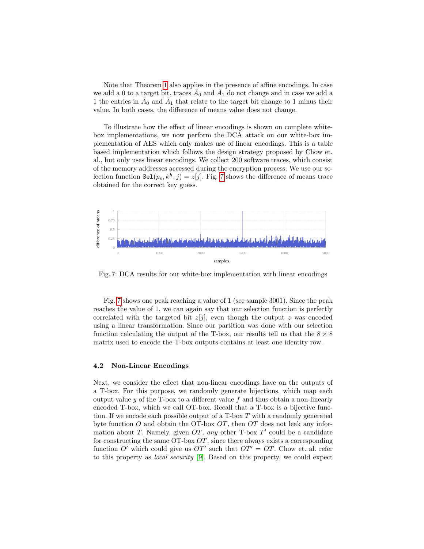Note that Theorem [1](#page-12-2) also applies in the presence of affine encodings. In case we add a 0 to a target bit, traces  $\bar{A}_0$  and  $\bar{A}_1$  do not change and in case we add a 1 the entries in  $\bar{A}_0$  and  $\bar{A}_1$  that relate to the target bit change to 1 minus their value. In both cases, the difference of means value does not change.

To illustrate how the effect of linear encodings is shown on complete whitebox implementations, we now perform the DCA attack on our white-box implementation of AES which only makes use of linear encodings. This is a table based implementation which follows the design strategy proposed by Chow et. al., but only uses linear encodings. We collect 200 software traces, which consist of the memory addresses accessed during the encryption process. We use our selection function  $\text{Sel}(p_e, k^h, j) = z[j]$ . Fig. [7](#page-14-0) shows the difference of means trace obtained for the correct key guess.

<span id="page-14-0"></span>

Fig. 7: DCA results for our white-box implementation with linear encodings

Fig. [7](#page-14-0) shows one peak reaching a value of 1 (see sample 3001). Since the peak reaches the value of 1, we can again say that our selection function is perfectly correlated with the targeted bit  $z[j]$ , even though the output z was encoded using a linear transformation. Since our partition was done with our selection function calculating the output of the T-box, our results tell us that the  $8 \times 8$ matrix used to encode the T-box outputs contains at least one identity row.

## <span id="page-14-1"></span>4.2 Non-Linear Encodings

Next, we consider the effect that non-linear encodings have on the outputs of a T-box. For this purpose, we randomly generate bijections, which map each output value  $y$  of the T-box to a different value  $f$  and thus obtain a non-linearly encoded T-box, which we call OT-box. Recall that a T-box is a bijective function. If we encode each possible output of a  $T$ -box  $T$  with a randomly generated byte function O and obtain the OT-box  $OT$ , then  $OT$  does not leak any information about T. Namely, given  $OT$ , any other T-box  $T'$  could be a candidate for constructing the same  $\overline{OT}$ -box  $\overline{OT}$ , since there always exists a corresponding function O' which could give us  $OT'$  such that  $OT' = OT$ . Chow et. al. refer to this property as local security [\[9\]](#page-24-0). Based on this property, we could expect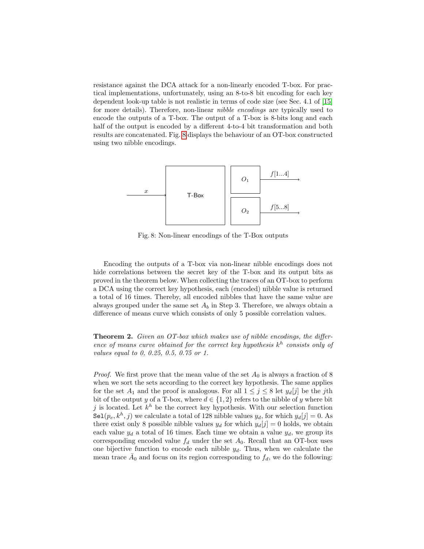resistance against the DCA attack for a non-linearly encoded T-box. For practical implementations, unfortunately, using an 8-to-8 bit encoding for each key dependent look-up table is not realistic in terms of code size (see Sec. 4.1 of [\[15\]](#page-25-7) for more details). Therefore, non-linear nibble encodings are typically used to encode the outputs of a T-box. The output of a T-box is 8-bits long and each half of the output is encoded by a different 4-to-4 bit transformation and both results are concatenated. Fig. [8](#page-15-0) displays the behaviour of an OT-box constructed using two nibble encodings.

<span id="page-15-0"></span>

Fig. 8: Non-linear encodings of the T-Box outputs

Encoding the outputs of a T-box via non-linear nibble encodings does not hide correlations between the secret key of the T-box and its output bits as proved in the theorem below. When collecting the traces of an OT-box to perform a DCA using the correct key hypothesis, each (encoded) nibble value is returned a total of 16 times. Thereby, all encoded nibbles that have the same value are always grouped under the same set  $A_b$  in Step 3. Therefore, we always obtain a difference of means curve which consists of only 5 possible correlation values.

<span id="page-15-1"></span>Theorem 2. Given an OT-box which makes use of nibble encodings, the difference of means curve obtained for the correct key hypothesis  $k^h$  consists only of values equal to 0, 0.25, 0.5, 0.75 or 1.

*Proof.* We first prove that the mean value of the set  $A_0$  is always a fraction of 8 when we sort the sets according to the correct key hypothesis. The same applies for the set  $A_1$  and the proof is analogous. For all  $1 \leq j \leq 8$  let  $y_d[j]$  be the jth bit of the output y of a T-box, where  $d \in \{1, 2\}$  refers to the nibble of y where bit j is located. Let  $k^h$  be the correct key hypothesis. With our selection function  $\text{Sel}(p_e, k^h, j)$  we calculate a total of 128 nibble values  $y_d$ , for which  $y_d[j] = 0$ . As there exist only 8 possible nibble values  $y_d$  for which  $y_d[j] = 0$  holds, we obtain each value  $y_d$  a total of 16 times. Each time we obtain a value  $y_d$ , we group its corresponding encoded value  $f_d$  under the set  $A_0$ . Recall that an OT-box uses one bijective function to encode each nibble  $y_d$ . Thus, when we calculate the mean trace  $\bar{A}_0$  and focus on its region corresponding to  $f_d$ , we do the following: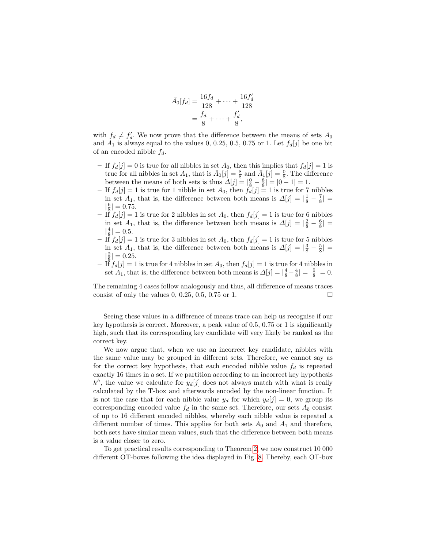$$
\bar{A}_0[f_d] = \frac{16f_d}{128} + \dots + \frac{16f_d'}{128} \n= \frac{f_d}{8} + \dots + \frac{f_d'}{8},
$$

with  $f_d \neq f'_d$ . We now prove that the difference between the means of sets  $A_0$ and  $A_1$  is always equal to the values 0, 0.25, 0.5, 0.75 or 1. Let  $f_d[j]$  be one bit of an encoded nibble  $f_d$ .

- If  $f_d[j] = 0$  is true for all nibbles in set  $A_0$ , then this implies that  $f_d[j] = 1$  is true for all nibbles in set  $A_1$ , that is  $\bar{A}_0[j] = \frac{8}{8}$  and  $\bar{A}_1[j] = \frac{0}{8}$ . The difference between the means of both sets is thus  $\Delta[j] = |\frac{0}{8} - \frac{8}{8}| = |0 - 1| = 1$ .
- If  $f_d[j] = 1$  is true for 1 nibble in set  $A_0$ , then  $f_d[j] = 1$  is true for 7 nibbles in set  $A_1$ , that is, the difference between both means is  $\Delta[j] = |\frac{1}{8} - \frac{7}{8}| =$  $|\frac{6}{8}| = 0.75.$
- $\begin{bmatrix} 18 \\ -11 \end{bmatrix}$  is true for 2 nibbles in set  $A_0$ , then  $f_d[j] = 1$  is true for 6 nibbles in set  $A_1$ , that is, the difference between both means is  $\Delta[j] = |\frac{2}{8} - \frac{6}{8}| =$  $|\frac{4}{8}| = 0.5.$
- If  $f_d[j] = 1$  is true for 3 nibbles in set  $A_0$ , then  $f_d[j] = 1$  is true for 5 nibbles in set  $A_1$ , that is, the difference between both means is  $\Delta[j] = \left|\frac{3}{8} - \frac{5}{8}\right| =$  $|\frac{2}{8}| = 0.25.$
- If  $f_d[j] = 1$  is true for 4 nibbles in set  $A_0$ , then  $f_d[j] = 1$  is true for 4 nibbles in set  $\overline{A_1}$ , that is, the difference between both means is  $\Delta[j] = |\frac{4}{8} - \frac{4}{8}| = |\frac{0}{8}| = 0$ .

The remaining 4 cases follow analogously and thus, all difference of means traces consist of only the values  $0, 0.25, 0.5, 0.75$  or 1.

Seeing these values in a difference of means trace can help us recognise if our key hypothesis is correct. Moreover, a peak value of 0.5, 0.75 or 1 is significantly high, such that its corresponding key candidate will very likely be ranked as the correct key.

We now argue that, when we use an incorrect key candidate, nibbles with the same value may be grouped in different sets. Therefore, we cannot say as for the correct key hypothesis, that each encoded nibble value  $f_d$  is repeated exactly 16 times in a set. If we partition according to an incorrect key hypothesis  $k<sup>h</sup>$ , the value we calculate for  $y_d[j]$  does not always match with what is really calculated by the T-box and afterwards encoded by the non-linear function. It is not the case that for each nibble value  $y_d$  for which  $y_d[j] = 0$ , we group its corresponding encoded value  $f_d$  in the same set. Therefore, our sets  $A_b$  consist of up to 16 different encoded nibbles, whereby each nibble value is repeated a different number of times. This applies for both sets  $A_0$  and  $A_1$  and therefore, both sets have similar mean values, such that the difference between both means is a value closer to zero.

To get practical results corresponding to Theorem [2,](#page-15-1) we now construct 10 000 different OT-boxes following the idea displayed in Fig. [8.](#page-15-0) Thereby, each OT-box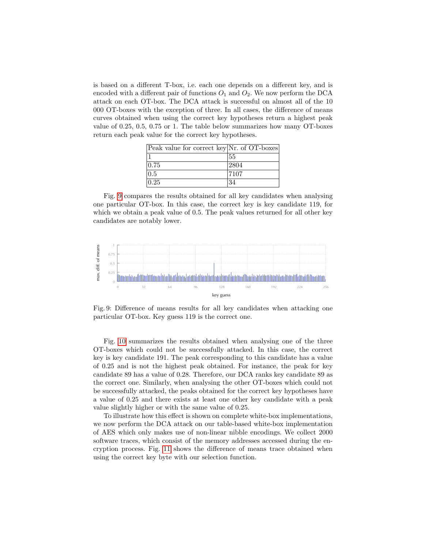is based on a different T-box, i.e. each one depends on a different key, and is encoded with a different pair of functions  $O_1$  and  $O_2$ . We now perform the DCA attack on each OT-box. The DCA attack is successful on almost all of the 10 000 OT-boxes with the exception of three. In all cases, the difference of means curves obtained when using the correct key hypotheses return a highest peak value of 0.25, 0.5, 0.75 or 1. The table below summarizes how many OT-boxes return each peak value for the correct key hypotheses.

| Peak value for correct key Nr. of OT-boxes |      |
|--------------------------------------------|------|
|                                            | 55   |
| 0.75                                       | 2804 |
| 0.5                                        | 7107 |
| 0.25                                       | 34   |

Fig. [9](#page-17-0) compares the results obtained for all key candidates when analysing one particular OT-box. In this case, the correct key is key candidate 119, for which we obtain a peak value of 0.5. The peak values returned for all other key candidates are notably lower.

<span id="page-17-0"></span>

Fig. 9: Difference of means results for all key candidates when attacking one particular OT-box. Key guess 119 is the correct one.

Fig. [10](#page-18-0) summarizes the results obtained when analysing one of the three OT-boxes which could not be successfully attacked. In this case, the correct key is key candidate 191. The peak corresponding to this candidate has a value of 0.25 and is not the highest peak obtained. For instance, the peak for key candidate 89 has a value of 0.28. Therefore, our DCA ranks key candidate 89 as the correct one. Similarly, when analysing the other OT-boxes which could not be successfully attacked, the peaks obtained for the correct key hypotheses have a value of 0.25 and there exists at least one other key candidate with a peak value slightly higher or with the same value of 0.25.

To illustrate how this effect is shown on complete white-box implementations, we now perform the DCA attack on our table-based white-box implementation of AES which only makes use of non-linear nibble encodings. We collect 2000 software traces, which consist of the memory addresses accessed during the encryption process. Fig. [11](#page-18-1) shows the difference of means trace obtained when using the correct key byte with our selection function.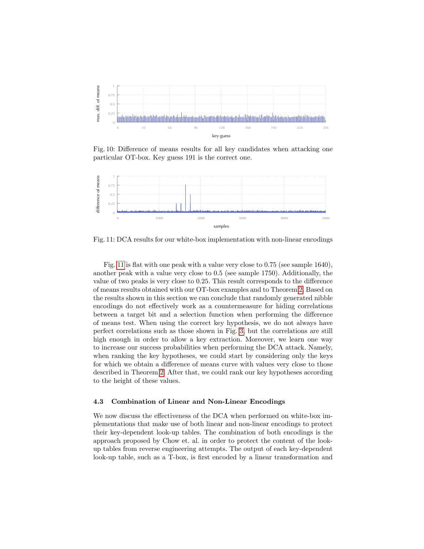<span id="page-18-0"></span>

Fig. 10: Difference of means results for all key candidates when attacking one particular OT-box. Key guess 191 is the correct one.

<span id="page-18-1"></span>

Fig. 11: DCA results for our white-box implementation with non-linear encodings

Fig. [11](#page-18-1) is flat with one peak with a value very close to 0.75 (see sample 1640), another peak with a value very close to 0.5 (see sample 1750). Additionally, the value of two peaks is very close to 0.25. This result corresponds to the difference of means results obtained with our OT-box examples and to Theorem [2.](#page-15-1) Based on the results shown in this section we can conclude that randomly generated nibble encodings do not effectively work as a countermeasure for hiding correlations between a target bit and a selection function when performing the difference of means test. When using the correct key hypothesis, we do not always have perfect correlations such as those shown in Fig. [3,](#page-8-1) but the correlations are still high enough in order to allow a key extraction. Moreover, we learn one way to increase our success probabilities when performing the DCA attack. Namely, when ranking the key hypotheses, we could start by considering only the keys for which we obtain a difference of means curve with values very close to those described in Theorem [2.](#page-15-1) After that, we could rank our key hypotheses according to the height of these values.

#### 4.3 Combination of Linear and Non-Linear Encodings

We now discuss the effectiveness of the DCA when performed on white-box implementations that make use of both linear and non-linear encodings to protect their key-dependent look-up tables. The combination of both encodings is the approach proposed by Chow et. al. in order to protect the content of the lookup tables from reverse engineering attempts. The output of each key-dependent look-up table, such as a T-box, is first encoded by a linear transformation and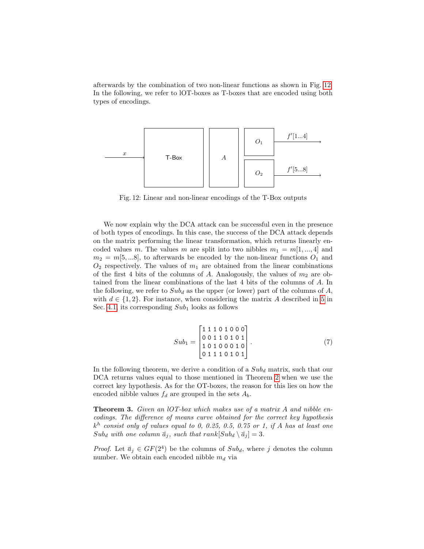afterwards by the combination of two non-linear functions as shown in Fig. [12.](#page-19-0) In the following, we refer to lOT-boxes as T-boxes that are encoded using both types of encodings.

<span id="page-19-0"></span>

Fig. 12: Linear and non-linear encodings of the T-Box outputs

We now explain why the DCA attack can be successful even in the presence of both types of encodings. In this case, the success of the DCA attack depends on the matrix performing the linear transformation, which returns linearly encoded values m. The values m are split into two nibbles  $m_1 = m[1, ..., 4]$  and  $m_2 = m[5,...8]$ , to afterwards be encoded by the non-linear functions  $O_1$  and  $O_2$  respectively. The values of  $m_1$  are obtained from the linear combinations of the first 4 bits of the columns of A. Analogously, the values of  $m_2$  are obtained from the linear combinations of the last 4 bits of the columns of A. In the following, we refer to  $Sub_d$  as the upper (or lower) part of the columns of A, with  $d \in \{1, 2\}$ . For instance, when considering the matrix A described in [5](#page-11-0) in Sec. [4.1,](#page-11-1) its corresponding  $Sub_1$  looks as follows

$$
Sub_{1} = \begin{bmatrix} 1 & 1 & 1 & 0 & 1 & 0 & 0 & 0 \\ 0 & 0 & 1 & 1 & 0 & 1 & 0 & 1 \\ 1 & 0 & 1 & 0 & 0 & 0 & 1 & 0 \\ 0 & 1 & 1 & 1 & 0 & 1 & 0 & 1 \end{bmatrix}.
$$
 (7)

In the following theorem, we derive a condition of a  $Sub_d$  matrix, such that our DCA returns values equal to those mentioned in Theorem [2](#page-15-1) when we use the correct key hypothesis. As for the OT-boxes, the reason for this lies on how the encoded nibble values  $f_d$  are grouped in the sets  $A_b$ .

<span id="page-19-1"></span>**Theorem 3.** Given an  $IOT-box$  which makes use of a matrix A and nibble encodings. The difference of means curve obtained for the correct key hypothesis  $k^h$  consist only of values equal to 0, 0.25, 0.5, 0.75 or 1, if A has at least one  $Sub_d$  with one column  $\vec{a}_j$ , such that rank  $Sub_d \setminus \vec{a}_j ] = 3.$ 

*Proof.* Let  $\vec{a}_j \in GF(2^4)$  be the columns of  $Sub_d$ , where j denotes the column number. We obtain each encoded nibble  $m_d$  via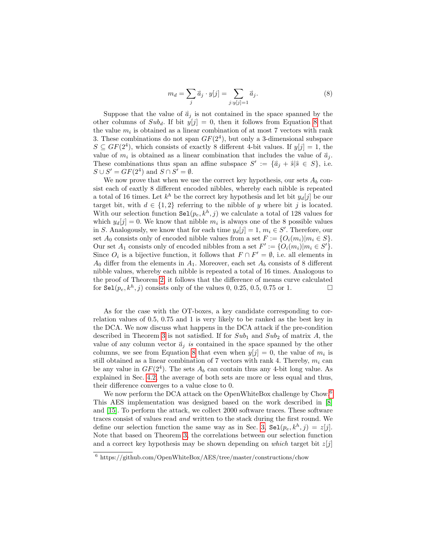<span id="page-20-0"></span>
$$
m_d = \sum_j \vec{a}_j \cdot y[j] = \sum_{j:y[j]=1} \vec{a}_j.
$$
 (8)

Suppose that the value of  $\vec{a}_i$  is not contained in the space spanned by the other columns of  $Sub_d$ . If bit  $y[j] = 0$ , then it follows from Equation [8](#page-20-0) that the value  $m_i$  is obtained as a linear combination of at most 7 vectors with rank 3. These combinations do not span  $GF(2<sup>4</sup>)$ , but only a 3-dimensional subspace  $S \subseteq GF(2^4)$ , which consists of exactly 8 different 4-bit values. If  $y[j] = 1$ , the value of  $m_i$  is obtained as a linear combination that includes the value of  $\vec{a}_j$ . These combinations thus span an affine subspace  $S' := \{\vec{a}_j + \vec{s} | \vec{s} \in S\}$ , i.e.  $S \cup S' = GF(2^4)$  and  $S \cap S' = \emptyset$ .

We now prove that when we use the correct key hypothesis, our sets  $A_b$  consist each of eaxtly 8 different encoded nibbles, whereby each nibble is repeated a total of 16 times. Let  $k^h$  be the correct key hypothesis and let bit  $y_d[j]$  be our target bit, with  $d \in \{1,2\}$  referring to the nibble of y where bit j is located. With our selection function  $\text{Sel}(p_e, k^h, j)$  we calculate a total of 128 values for which  $y_d[j] = 0$ . We know that nibble  $m_i$  is always one of the 8 possible values in S. Analogously, we know that for each time  $y_d[j] = 1, m_i \in S'$ . Therefore, our set  $A_0$  consists only of encoded nibble values from a set  $F := \{O_i(m_i)|m_i \in S\}$ . Our set  $A_1$  consists only of encoded nibbles from a set  $F' := \{O_i(m_i)|m_i \in S'\}.$ Since  $O_i$  is a bijective function, it follows that  $F \cap F' = \emptyset$ , i.e. all elements in  $A_0$  differ from the elements in  $A_1$ . Moreover, each set  $A_b$  consists of 8 different nibble values, whereby each nibble is repeated a total of 16 times. Analogous to the proof of Theorem [2,](#page-15-1) it follows that the difference of means curve calculated for  $\texttt{Sel}(p_e, k^h, j)$  consists only of the values 0, 0.25, 0.5, 0.75 or 1.

As for the case with the OT-boxes, a key candidate corresponding to correlation values of 0.5, 0.75 and 1 is very likely to be ranked as the best key in the DCA. We now discuss what happens in the DCA attack if the pre-condition described in Theorem [3](#page-19-1) is not satisfied. If for  $Sub_1$  and  $Sub_2$  of matrix A, the value of any column vector  $\vec{a}_i$  is contained in the space spanned by the other columns, we see from Equation [8](#page-20-0) that even when  $y[j] = 0$ , the value of  $m_i$  is still obtained as a linear combination of 7 vectors with rank 4. Thereby,  $m_i$  can be any value in  $GF(2<sup>4</sup>)$ . The sets  $A<sub>b</sub>$  can contain thus any 4-bit long value. As explained in Sec. [4.2,](#page-14-1) the average of both sets are more or less equal and thus, their difference converges to a value close to 0.

We now perform the DCA attack on the OpenWhiteBox challenge by Chow.<sup>[6](#page-20-1)</sup> This AES implementation was designed based on the work described in [\[8\]](#page-24-1) and [\[15\]](#page-25-7). To perform the attack, we collect 2000 software traces. These software traces consist of values read and written to the stack during the first round. We define our selection function the same way as in Sec. [3,](#page-6-1)  $\texttt{Sel}(p_e, k^h, j) = z[j].$ Note that based on Theorem [3,](#page-19-1) the correlations between our selection function and a correct key hypothesis may be shown depending on which target bit  $z[i]$ 

<span id="page-20-1"></span> $6$  https://github.com/OpenWhiteBox/AES/tree/master/constructions/chow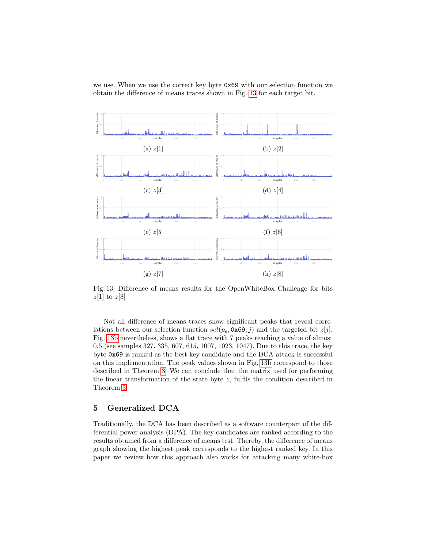we use. When we use the correct key byte 0x69 with our selection function we obtain the difference of means traces shown in Fig. [13](#page-21-0) for each target bit.

<span id="page-21-0"></span>

Fig. 13: Difference of means results for the OpenWhiteBox Challenge for bits  $z[1]$  to  $z[8]$ 

Not all difference of means traces show significant peaks that reveal correlations between our selection function  $\text{sel}(p_e, \text{0x69}, j)$  and the targeted bit  $z[j]$ . Fig. [13b](#page-21-0) nevertheless, shows a flat trace with 7 peaks reaching a value of almost 0.5 (see samples 327, 335, 607, 615, 1007, 1023, 1047). Due to this trace, the key byte 0x69 is ranked as the best key candidate and the DCA attack is successful on this implementation. The peak values shown in Fig. [13b](#page-21-0) correspond to those described in Theorem [3.](#page-19-1) We can conclude that the matrix used for performing the linear transformation of the state byte  $z$ , fulfils the condition described in Theorem [3.](#page-19-1)

# <span id="page-21-1"></span>5 Generalized DCA

Traditionally, the DCA has been described as a software counterpart of the differential power analysis (DPA). The key candidates are ranked according to the results obtained from a difference of means test. Thereby, the difference of means graph showing the highest peak corresponds to the highest ranked key. In this paper we review how this approach also works for attacking many white-box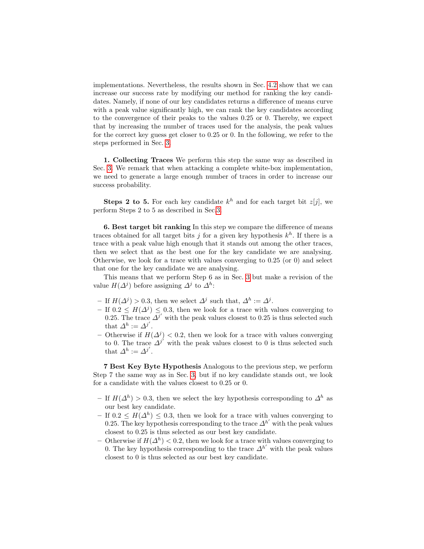implementations. Nevertheless, the results shown in Sec. [4.2](#page-14-1) show that we can increase our success rate by modifying our method for ranking the key candidates. Namely, if none of our key candidates returns a difference of means curve with a peak value significantly high, we can rank the key candidates according to the convergence of their peaks to the values 0.25 or 0. Thereby, we expect that by increasing the number of traces used for the analysis, the peak values for the correct key guess get closer to 0.25 or 0. In the following, we refer to the steps performed in Sec. [3.](#page-6-1)

1. Collecting Traces We perform this step the same way as described in Sec. [3.](#page-6-1) We remark that when attacking a complete white-box implementation, we need to generate a large enough number of traces in order to increase our success probability.

**Steps 2 to 5.** For each key candidate  $k^h$  and for each target bit  $z[j]$ , we perform Steps 2 to 5 as described in Sec[.3.](#page-6-1)

6. Best target bit ranking In this step we compare the difference of means traces obtained for all target bits j for a given key hypothesis  $k^h$ . If there is a trace with a peak value high enough that it stands out among the other traces, then we select that as the best one for the key candidate we are analysing. Otherwise, we look for a trace with values converging to 0.25 (or 0) and select that one for the key candidate we are analysing.

This means that we perform Step 6 as in Sec. [3](#page-6-1) but make a revision of the value  $H(\Delta^j)$  before assigning  $\Delta^j$  to  $\Delta^h$ :

- If  $H(\Delta^j) > 0.3$ , then we select  $\Delta^j$  such that,  $\Delta^h := \Delta^j$ .
- $-$  If 0.2 ≤  $H(\Delta^{j})$  ≤ 0.3, then we look for a trace with values converging to 0.25. The trace  $\overline{A^{j}}'$  with the peak values closest to 0.25 is thus selected such that  $\Delta^h := \Delta^{j'}$ .
- Otherwise if  $H(∆<sup>j</sup>)$  < 0.2, then we look for a trace with values converging to 0. The trace  $\Delta^{j'}$  with the peak values closest to 0 is thus selected such that  $\Delta^h := \Delta^{j'}$ .

7 Best Key Byte Hypothesis Analogous to the previous step, we perform Step 7 the same way as in Sec. [3,](#page-6-1) but if no key candidate stands out, we look for a candidate with the values closest to 0.25 or 0.

- $-$  If  $H(Δ<sup>h</sup>) > 0.3$ , then we select the key hypothesis corresponding to  $Δ<sup>h</sup>$  as our best key candidate.
- $-$  If 0.2 ≤  $H(\Delta^h)$  ≤ 0.3, then we look for a trace with values converging to 0.25. The key hypothesis corresponding to the trace  $\Delta^{h'}$  with the peak values closest to 0.25 is thus selected as our best key candidate.
- − Otherwise if  $H(\Delta^h)$  < 0.2, then we look for a trace with values converging to 0. The key hypothesis corresponding to the trace  $\Delta^{h'}$  with the peak values closest to 0 is thus selected as our best key candidate.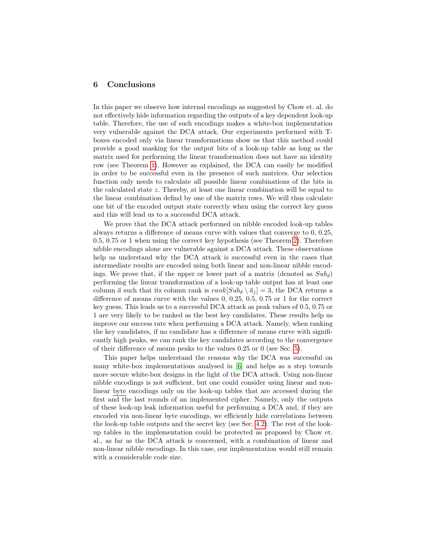## 6 Conclusions

In this paper we observe how internal encodings as suggested by Chow et. al. do not effectively hide information regarding the outputs of a key dependent look-up table. Therefore, the use of such encodings makes a white-box implementation very vulnerable against the DCA attack. Our experiments performed with Tboxes encoded only via linear transformations show us that this method could provide a good masking for the output bits of a look-up table as long as the matrix used for performing the linear transformation does not have an identity row (see Theorem [1\)](#page-12-2). However as explained, the DCA can easily be modified in order to be successful even in the presence of such matrices. Our selection function only needs to calculate all possible linear combinations of the bits in the calculated state z. Thereby, at least one linear combination will be equal to the linear combination defind by one of the matrix rows. We will thus calculate one bit of the encoded output state correctly when using the correct key guess and this will lead us to a successful DCA attack.

We prove that the DCA attack performed on nibble encoded look-up tables always returns a difference of means curve with values that converge to 0, 0.25, 0.5, 0.75 or 1 when using the correct key hypothesis (see Theorem [2\)](#page-15-1). Therefore nibble encodings alone are vulnerable against a DCA attack. These observations help us understand why the DCA attack is successful even in the cases that intermediate results are encoded using both linear and non-linear nibble encodings. We prove that, if the upper or lower part of a matrix (denoted as  $Sub_d$ ) performing the linear transformation of a look-up table output has at least one column  $\vec{a}$  such that its column rank is  $rank[Sub_d \setminus \vec{a}_i] = 3$ , the DCA returns a difference of means curve with the values 0, 0.25, 0.5, 0.75 or 1 for the correct key guess. This leads us to a successful DCA attack as peak values of 0.5, 0.75 or 1 are very likely to be ranked as the best key candidates. These results help us improve our success rate when performing a DCA attack. Namely, when ranking the key candidates, if no candidate has a difference of means curve with significantly high peaks, we can rank the key candidates according to the convergence of their difference of means peaks to the values 0.25 or 0 (see Sec. [5\)](#page-21-1).

This paper helps understand the reasons why the DCA was successful on many white-box implementations analysed in [\[6\]](#page-24-6) and helps as a step towards more secure white-box designs in the light of the DCA attack. Using non-linear nibble encodings is not sufficient, but one could consider using linear and nonlinear byte encodings only on the look-up tables that are accessed during the first and the last rounds of an implemented cipher. Namely, only the outputs of these look-up leak information useful for performing a DCA and, if they are encoded via non-linear byte encodings, we efficiently hide correlations between the look-up table outputs and the secret key (see Sec. [4.2\)](#page-14-1). The rest of the lookup tables in the implementation could be protected as proposed by Chow et. al., as far as the DCA attack is concerned, with a combination of linear and non-linear nibble encodings. In this case, our implementation would still remain with a considerable code size.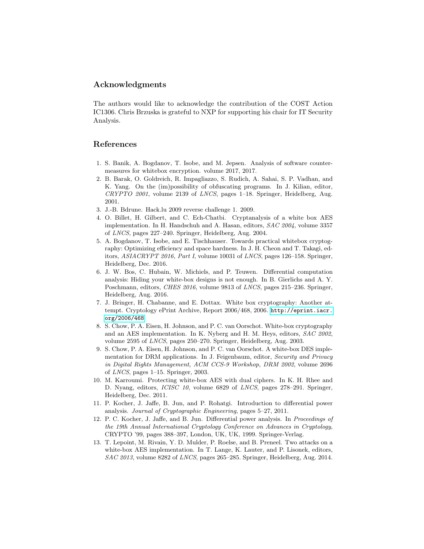## Acknowledgments

The authors would like to acknowledge the contribution of the COST Action IC1306. Chris Brzuska is grateful to NXP for supporting his chair for IT Security Analysis.

# References

- <span id="page-24-9"></span>1. S. Banik, A. Bogdanov, T. Isobe, and M. Jepsen. Analysis of software countermeasures for whitebox encryption. volume 2017, 2017.
- <span id="page-24-11"></span>2. B. Barak, O. Goldreich, R. Impagliazzo, S. Rudich, A. Sahai, S. P. Vadhan, and K. Yang. On the (im)possibility of obfuscating programs. In J. Kilian, editor, CRYPTO 2001, volume 2139 of LNCS, pages 1–18. Springer, Heidelberg, Aug. 2001.
- <span id="page-24-12"></span>3. J.-B. Bdrune. Hack.lu 2009 reverse challenge 1. 2009.
- <span id="page-24-4"></span>4. O. Billet, H. Gilbert, and C. Ech-Chatbi. Cryptanalysis of a white box AES implementation. In H. Handschuh and A. Hasan, editors, SAC 2004, volume 3357 of LNCS, pages 227–240. Springer, Heidelberg, Aug. 2004.
- <span id="page-24-8"></span>5. A. Bogdanov, T. Isobe, and E. Tischhauser. Towards practical whitebox cryptography: Optimizing efficiency and space hardness. In J. H. Cheon and T. Takagi, editors, ASIACRYPT 2016, Part I, volume 10031 of LNCS, pages 126–158. Springer, Heidelberg, Dec. 2016.
- <span id="page-24-6"></span>6. J. W. Bos, C. Hubain, W. Michiels, and P. Teuwen. Differential computation analysis: Hiding your white-box designs is not enough. In B. Gierlichs and A. Y. Poschmann, editors, CHES 2016, volume 9813 of LNCS, pages 215–236. Springer, Heidelberg, Aug. 2016.
- <span id="page-24-2"></span>7. J. Bringer, H. Chabanne, and E. Dottax. White box cryptography: Another attempt. Cryptology ePrint Archive, Report 2006/468, 2006. [http://eprint.iacr.](http://eprint.iacr.org/2006/468) [org/2006/468](http://eprint.iacr.org/2006/468).
- <span id="page-24-1"></span>8. S. Chow, P. A. Eisen, H. Johnson, and P. C. van Oorschot. White-box cryptography and an AES implementation. In K. Nyberg and H. M. Heys, editors, SAC 2002, volume 2595 of LNCS, pages 250–270. Springer, Heidelberg, Aug. 2003.
- <span id="page-24-0"></span>9. S. Chow, P. A. Eisen, H. Johnson, and P. C. van Oorschot. A white-box DES implementation for DRM applications. In J. Feigenbaum, editor, Security and Privacy in Digital Rights Management, ACM CCS-9 Workshop, DRM 2002, volume 2696 of LNCS, pages 1–15. Springer, 2003.
- <span id="page-24-3"></span>10. M. Karroumi. Protecting white-box AES with dual ciphers. In K. H. Rhee and D. Nyang, editors, ICISC 10, volume 6829 of LNCS, pages 278–291. Springer, Heidelberg, Dec. 2011.
- <span id="page-24-10"></span>11. P. Kocher, J. Jaffe, B. Jun, and P. Rohatgi. Introduction to differential power analysis. Journal of Cryptographic Engineering, pages 5–27, 2011.
- <span id="page-24-7"></span>12. P. C. Kocher, J. Jaffe, and B. Jun. Differential power analysis. In Proceedings of the 19th Annual International Cryptology Conference on Advances in Cryptology, CRYPTO '99, pages 388–397, London, UK, UK, 1999. Springer-Verlag.
- <span id="page-24-5"></span>13. T. Lepoint, M. Rivain, Y. D. Mulder, P. Roelse, and B. Preneel. Two attacks on a white-box AES implementation. In T. Lange, K. Lauter, and P. Lisonek, editors, SAC 2013, volume 8282 of LNCS, pages 265–285. Springer, Heidelberg, Aug. 2014.